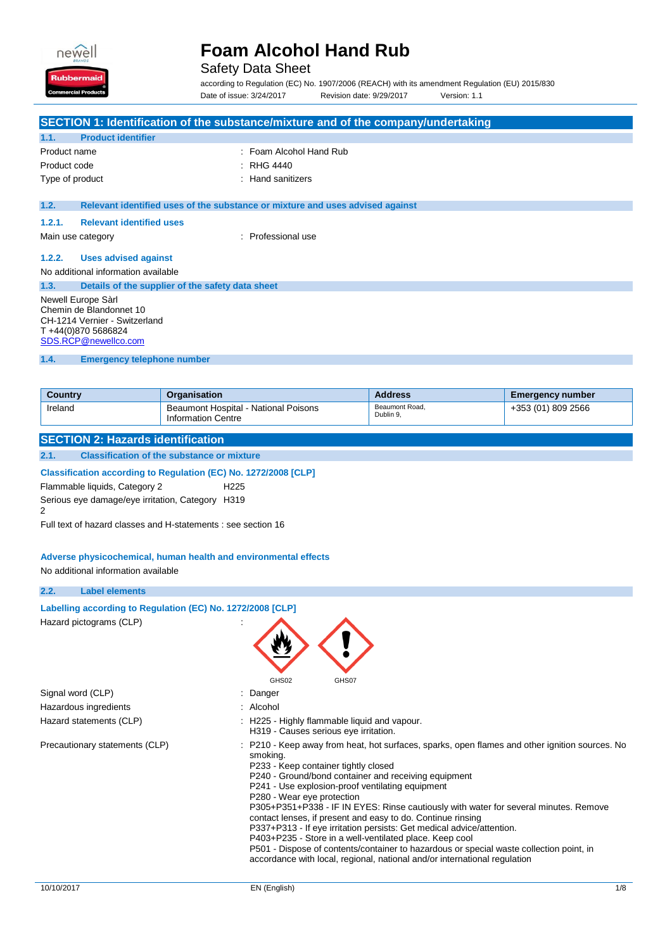

## Safety Data Sheet

according to Regulation (EC) No. 1907/2006 (REACH) with its amendment Regulation (EU) 2015/830 Date of issue: 3/24/2017 Revision date: 9/29/2017 Version: 1.1

|                                                                                                                                                                                                                                                                                                                   | SECTION 1: Identification of the substance/mixture and of the company/undertaking |                             |                         |  |
|-------------------------------------------------------------------------------------------------------------------------------------------------------------------------------------------------------------------------------------------------------------------------------------------------------------------|-----------------------------------------------------------------------------------|-----------------------------|-------------------------|--|
| <b>Product identifier</b><br>1.1.                                                                                                                                                                                                                                                                                 |                                                                                   |                             |                         |  |
| Foam Alcohol Hand Rub<br>Product name                                                                                                                                                                                                                                                                             |                                                                                   |                             |                         |  |
| Product code                                                                                                                                                                                                                                                                                                      | <b>RHG 4440</b>                                                                   |                             |                         |  |
| Type of product                                                                                                                                                                                                                                                                                                   | <b>Hand sanitizers</b>                                                            |                             |                         |  |
| 1.2.                                                                                                                                                                                                                                                                                                              | Relevant identified uses of the substance or mixture and uses advised against     |                             |                         |  |
|                                                                                                                                                                                                                                                                                                                   |                                                                                   |                             |                         |  |
| 1.2.1.<br><b>Relevant identified uses</b>                                                                                                                                                                                                                                                                         |                                                                                   |                             |                         |  |
| Main use category                                                                                                                                                                                                                                                                                                 | : Professional use                                                                |                             |                         |  |
| 1.2.2.<br><b>Uses advised against</b>                                                                                                                                                                                                                                                                             |                                                                                   |                             |                         |  |
| No additional information available                                                                                                                                                                                                                                                                               |                                                                                   |                             |                         |  |
| 1.3.                                                                                                                                                                                                                                                                                                              | Details of the supplier of the safety data sheet                                  |                             |                         |  |
| Chemin de Blandonnet 10<br>T+44(0)870 5686824<br>SDS.RCP@newellco.com                                                                                                                                                                                                                                             | Newell Europe Sàrl<br>CH-1214 Vernier - Switzerland                               |                             |                         |  |
| 1.4.<br><b>Emergency telephone number</b>                                                                                                                                                                                                                                                                         |                                                                                   |                             |                         |  |
|                                                                                                                                                                                                                                                                                                                   |                                                                                   |                             |                         |  |
| <b>Country</b>                                                                                                                                                                                                                                                                                                    | Organisation                                                                      | <b>Address</b>              | <b>Emergency number</b> |  |
| Ireland                                                                                                                                                                                                                                                                                                           | Beaumont Hospital - National Poisons<br><b>Information Centre</b>                 | Beaumont Road,<br>Dublin 9. | +353 (01) 809 2566      |  |
| <b>SECTION 2: Hazards identification</b>                                                                                                                                                                                                                                                                          |                                                                                   |                             |                         |  |
| 2.1.                                                                                                                                                                                                                                                                                                              | <b>Classification of the substance or mixture</b>                                 |                             |                         |  |
| Classification according to Regulation (EC) No. 1272/2008 [CLP]<br>Flammable liquids, Category 2<br>H <sub>225</sub><br>Serious eye damage/eye irritation, Category H319<br>2<br>Full text of hazard classes and H-statements : see section 16<br>Adverse physicochemical, human health and environmental effects |                                                                                   |                             |                         |  |
|                                                                                                                                                                                                                                                                                                                   |                                                                                   |                             |                         |  |

## **2.2. Label elements**

| Labelling according to Regulation (EC) No. 1272/2008 [CLP] |                                                                                                                                                                                                                                                                                                                                                                                                                                                                                                                                                                                                                                                                                                                                                               |
|------------------------------------------------------------|---------------------------------------------------------------------------------------------------------------------------------------------------------------------------------------------------------------------------------------------------------------------------------------------------------------------------------------------------------------------------------------------------------------------------------------------------------------------------------------------------------------------------------------------------------------------------------------------------------------------------------------------------------------------------------------------------------------------------------------------------------------|
| Hazard pictograms (CLP)                                    | GHS02<br>GHS07                                                                                                                                                                                                                                                                                                                                                                                                                                                                                                                                                                                                                                                                                                                                                |
| Signal word (CLP)                                          | Danger                                                                                                                                                                                                                                                                                                                                                                                                                                                                                                                                                                                                                                                                                                                                                        |
| Hazardous ingredients                                      | Alcohol                                                                                                                                                                                                                                                                                                                                                                                                                                                                                                                                                                                                                                                                                                                                                       |
| Hazard statements (CLP)                                    | : H225 - Highly flammable liquid and vapour.<br>H319 - Causes serious eye irritation.                                                                                                                                                                                                                                                                                                                                                                                                                                                                                                                                                                                                                                                                         |
| Precautionary statements (CLP)                             | P210 - Keep away from heat, hot surfaces, sparks, open flames and other ignition sources. No<br>smoking.<br>P233 - Keep container tightly closed<br>P240 - Ground/bond container and receiving equipment<br>P241 - Use explosion-proof ventilating equipment<br>P280 - Wear eye protection<br>P305+P351+P338 - IF IN EYES: Rinse cautiously with water for several minutes. Remove<br>contact lenses, if present and easy to do. Continue rinsing<br>P337+P313 - If eye irritation persists: Get medical advice/attention.<br>P403+P235 - Store in a well-ventilated place. Keep cool<br>P501 - Dispose of contents/container to hazardous or special waste collection point, in<br>accordance with local, regional, national and/or international regulation |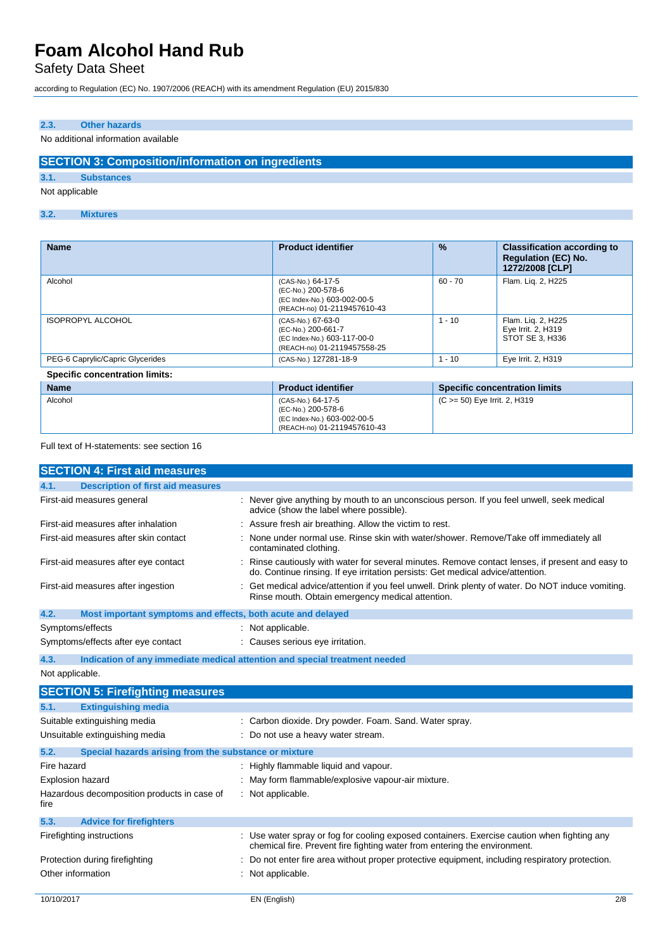# Safety Data Sheet

according to Regulation (EC) No. 1907/2006 (REACH) with its amendment Regulation (EU) 2015/830

### **2.3. Other hazards**

### No additional information available

## **SECTION 3: Composition/information on ingredients**

**3.1. Substances**

Not applicable

#### **3.2. Mixtures**

| <b>Name</b>                           | <b>Product identifier</b>                                                                             | $\frac{9}{6}$                | <b>Classification according to</b><br><b>Regulation (EC) No.</b><br>1272/2008 [CLP] |
|---------------------------------------|-------------------------------------------------------------------------------------------------------|------------------------------|-------------------------------------------------------------------------------------|
| Alcohol                               | (CAS-No.) 64-17-5<br>(EC-No.) 200-578-6<br>(EC Index-No.) 603-002-00-5<br>(REACH-no) 01-2119457610-43 | $60 - 70$                    | Flam. Lig. 2, H225                                                                  |
| <b>ISOPROPYL ALCOHOL</b>              | (CAS-No.) 67-63-0<br>(EC-No.) 200-661-7<br>(EC Index-No.) 603-117-00-0<br>(REACH-no) 01-2119457558-25 | $-10$                        | Flam. Lig. 2, H225<br>Eye Irrit. 2, H319<br>STOT SE 3, H336                         |
| PEG-6 Caprylic/Capric Glycerides      | (CAS-No.) 127281-18-9                                                                                 | $-10$                        | Eye Irrit. 2, H319                                                                  |
| <b>Specific concentration limits:</b> |                                                                                                       |                              |                                                                                     |
| <b>Name</b>                           | <b>Product identifier</b>                                                                             |                              | <b>Specific concentration limits</b>                                                |
| Alcohol                               | (CAS-No.) 64-17-5<br>(EC-No.) 200-578-6                                                               | (C >= 50) Eye Irrit. 2, H319 |                                                                                     |

(EC Index-No.) 603-002-00-5 (REACH-no) 01-2119457610-43

Full text of H-statements: see section 16

| <b>SECTION 4: First aid measures</b>                                |                                                                                                                                                                                   |     |
|---------------------------------------------------------------------|-----------------------------------------------------------------------------------------------------------------------------------------------------------------------------------|-----|
| <b>Description of first aid measures</b><br>4.1.                    |                                                                                                                                                                                   |     |
| First-aid measures general                                          | : Never give anything by mouth to an unconscious person. If you feel unwell, seek medical<br>advice (show the label where possible).                                              |     |
| First-aid measures after inhalation                                 | Assure fresh air breathing. Allow the victim to rest.                                                                                                                             |     |
| First-aid measures after skin contact                               | None under normal use. Rinse skin with water/shower. Remove/Take off immediately all<br>contaminated clothing.                                                                    |     |
| First-aid measures after eye contact                                | Rinse cautiously with water for several minutes. Remove contact lenses, if present and easy to<br>do. Continue rinsing. If eye irritation persists: Get medical advice/attention. |     |
| First-aid measures after ingestion                                  | Get medical advice/attention if you feel unwell. Drink plenty of water. Do NOT induce vomiting.<br>Rinse mouth. Obtain emergency medical attention.                               |     |
| Most important symptoms and effects, both acute and delayed<br>4.2. |                                                                                                                                                                                   |     |
| Symptoms/effects                                                    | Not applicable.                                                                                                                                                                   |     |
| Symptoms/effects after eye contact                                  | Causes serious eye irritation.                                                                                                                                                    |     |
| 4.3.                                                                | Indication of any immediate medical attention and special treatment needed                                                                                                        |     |
| Not applicable.                                                     |                                                                                                                                                                                   |     |
| <b>SECTION 5: Firefighting measures</b>                             |                                                                                                                                                                                   |     |
| <b>Extinguishing media</b><br>5.1.                                  |                                                                                                                                                                                   |     |
| Suitable extinguishing media                                        | Carbon dioxide. Dry powder. Foam. Sand. Water spray.                                                                                                                              |     |
| Unsuitable extinguishing media                                      | Do not use a heavy water stream.                                                                                                                                                  |     |
| 5.2.<br>Special hazards arising from the substance or mixture       |                                                                                                                                                                                   |     |
| Fire hazard                                                         | Highly flammable liquid and vapour.                                                                                                                                               |     |
| <b>Explosion hazard</b>                                             | May form flammable/explosive vapour-air mixture.                                                                                                                                  |     |
| Hazardous decomposition products in case of<br>fire                 | Not applicable.                                                                                                                                                                   |     |
| 5.3.<br><b>Advice for firefighters</b>                              |                                                                                                                                                                                   |     |
| Firefighting instructions                                           | Use water spray or fog for cooling exposed containers. Exercise caution when fighting any<br>chemical fire. Prevent fire fighting water from entering the environment.            |     |
| Protection during firefighting                                      | Do not enter fire area without proper protective equipment, including respiratory protection.                                                                                     |     |
| Other information                                                   | Not applicable.                                                                                                                                                                   |     |
| 10/10/2017                                                          | EN (English)                                                                                                                                                                      | 2/8 |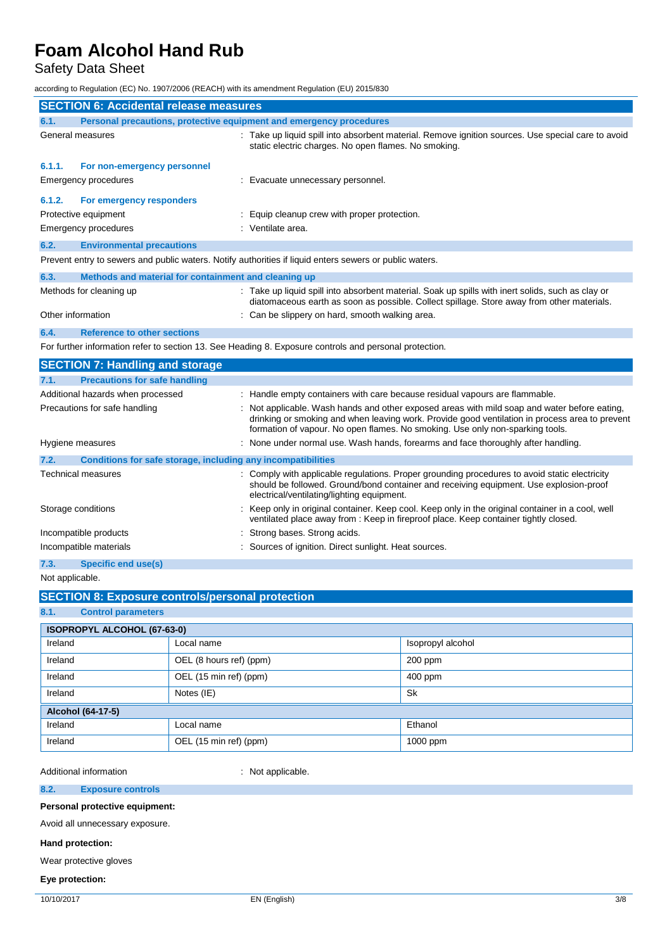Safety Data Sheet

according to Regulation (EC) No. 1907/2006 (REACH) with its amendment Regulation (EU) 2015/830

|                   | <b>SECTION 6: Accidental release measures</b>                       |                                                                                                                                                                                                                                                                               |
|-------------------|---------------------------------------------------------------------|-------------------------------------------------------------------------------------------------------------------------------------------------------------------------------------------------------------------------------------------------------------------------------|
| 6.1.              | Personal precautions, protective equipment and emergency procedures |                                                                                                                                                                                                                                                                               |
|                   | General measures                                                    | Take up liquid spill into absorbent material. Remove ignition sources. Use special care to avoid<br>static electric charges. No open flames. No smoking.                                                                                                                      |
| 6.1.1.            | For non-emergency personnel                                         |                                                                                                                                                                                                                                                                               |
|                   | <b>Emergency procedures</b>                                         | : Evacuate unnecessary personnel.                                                                                                                                                                                                                                             |
| 6.1.2.            | For emergency responders                                            |                                                                                                                                                                                                                                                                               |
|                   | Protective equipment                                                | Equip cleanup crew with proper protection.                                                                                                                                                                                                                                    |
|                   | <b>Emergency procedures</b>                                         | Ventilate area.                                                                                                                                                                                                                                                               |
| 6.2.              | <b>Environmental precautions</b>                                    |                                                                                                                                                                                                                                                                               |
|                   |                                                                     | Prevent entry to sewers and public waters. Notify authorities if liquid enters sewers or public waters.                                                                                                                                                                       |
| 6.3.              | Methods and material for containment and cleaning up                |                                                                                                                                                                                                                                                                               |
|                   | Methods for cleaning up                                             | : Take up liquid spill into absorbent material. Soak up spills with inert solids, such as clay or<br>diatomaceous earth as soon as possible. Collect spillage. Store away from other materials.                                                                               |
| Other information |                                                                     | Can be slippery on hard, smooth walking area.                                                                                                                                                                                                                                 |
| 6.4.              | <b>Reference to other sections</b>                                  |                                                                                                                                                                                                                                                                               |
|                   |                                                                     | For further information refer to section 13. See Heading 8. Exposure controls and personal protection.                                                                                                                                                                        |
|                   | <b>SECTION 7: Handling and storage</b>                              |                                                                                                                                                                                                                                                                               |
| 7.1.              | <b>Precautions for safe handling</b>                                |                                                                                                                                                                                                                                                                               |
|                   | Additional hazards when processed                                   | : Handle empty containers with care because residual vapours are flammable.                                                                                                                                                                                                   |
|                   | Precautions for safe handling                                       | Not applicable. Wash hands and other exposed areas with mild soap and water before eating,<br>drinking or smoking and when leaving work. Provide good ventilation in process area to prevent<br>formation of vapour. No open flames. No smoking. Use only non-sparking tools. |
|                   | Hygiene measures                                                    | None under normal use. Wash hands, forearms and face thoroughly after handling.                                                                                                                                                                                               |
| 7.2.              | Conditions for safe storage, including any incompatibilities        |                                                                                                                                                                                                                                                                               |
|                   | <b>Technical measures</b>                                           | Comply with applicable regulations. Proper grounding procedures to avoid static electricity<br>should be followed. Ground/bond container and receiving equipment. Use explosion-proof<br>electrical/ventilating/lighting equipment.                                           |
|                   | Storage conditions                                                  | Keep only in original container. Keep cool. Keep only in the original container in a cool, well<br>ventilated place away from : Keep in fireproof place. Keep container tightly closed.                                                                                       |
|                   | Incompatible products                                               | Strong bases. Strong acids.                                                                                                                                                                                                                                                   |
|                   | Incompatible materials                                              | Sources of ignition. Direct sunlight. Heat sources.                                                                                                                                                                                                                           |
| 7.3.              | Specific end use(s)                                                 |                                                                                                                                                                                                                                                                               |
| Not applicable.   |                                                                     |                                                                                                                                                                                                                                                                               |

## **SECTION 8: Exposure controls/personal protection**

## **8.1. Control parameters**

| ISOPROPYL ALCOHOL (67-63-0) |                         |                   |  |  |
|-----------------------------|-------------------------|-------------------|--|--|
| Ireland                     | Local name              | Isopropyl alcohol |  |  |
| Ireland                     | OEL (8 hours ref) (ppm) | $200$ ppm         |  |  |
| Ireland                     | OEL (15 min ref) (ppm)  | $400$ ppm         |  |  |
| Ireland                     | <b>Sk</b><br>Notes (IE) |                   |  |  |
| Alcohol (64-17-5)           |                         |                   |  |  |
| Ireland                     | Local name              | Ethanol           |  |  |
| Ireland                     | OEL (15 min ref) (ppm)  | 1000 ppm          |  |  |

Additional information **information** : Not applicable.

**8.2. Exposure controls**

**Personal protective equipment:**

Avoid all unnecessary exposure.

### **Hand protection:**

Wear protective gloves

#### **Eye protection:**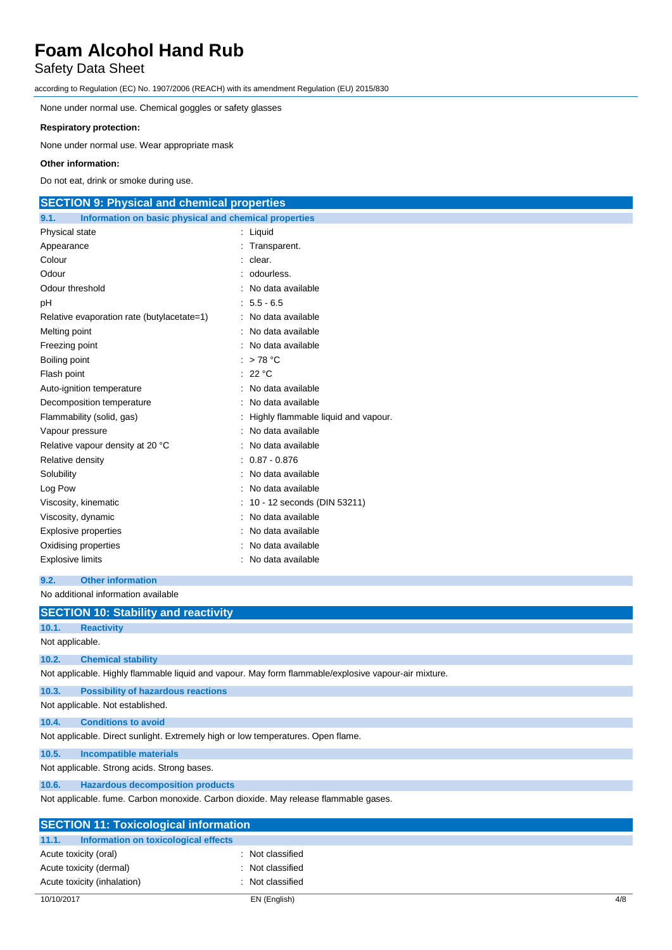# Safety Data Sheet

according to Regulation (EC) No. 1907/2006 (REACH) with its amendment Regulation (EU) 2015/830

None under normal use. Chemical goggles or safety glasses

### **Respiratory protection:**

None under normal use. Wear appropriate mask

#### **Other information:**

Do not eat, drink or smoke during use.

## **SECTION 9: Physical and chemical properties**

| Information on basic physical and chemical properties<br>9.1. |                                     |
|---------------------------------------------------------------|-------------------------------------|
| Physical state                                                | Liquid                              |
| Appearance                                                    | Transparent.                        |
| Colour                                                        | clear.                              |
| Odour                                                         | odourless.                          |
| Odour threshold                                               | No data available                   |
| рH                                                            | $5.5 - 6.5$                         |
| Relative evaporation rate (butylacetate=1)                    | No data available                   |
| Melting point                                                 | No data available                   |
| Freezing point                                                | No data available                   |
| Boiling point                                                 | >78 °C                              |
| Flash point                                                   | 22 °C                               |
| Auto-ignition temperature                                     | No data available                   |
| Decomposition temperature                                     | No data available                   |
| Flammability (solid, gas)                                     | Highly flammable liquid and vapour. |
| Vapour pressure                                               | No data available                   |
| Relative vapour density at 20 °C                              | No data available                   |
| Relative density                                              | $0.87 - 0.876$                      |
| Solubility                                                    | No data available                   |
| Log Pow                                                       | No data available                   |
| Viscosity, kinematic                                          | 10 - 12 seconds (DIN 53211)         |
| Viscosity, dynamic                                            | No data available                   |
| Explosive properties                                          | No data available                   |
| Oxidising properties                                          | No data available                   |
| Explosive limits                                              | No data available                   |

#### **9.2. Other information**

No additional information available

|                                                                                     | <b>SECTION 10: Stability and reactivity</b>                                      |                                                                                                      |  |
|-------------------------------------------------------------------------------------|----------------------------------------------------------------------------------|------------------------------------------------------------------------------------------------------|--|
| 10.1.                                                                               | <b>Reactivity</b>                                                                |                                                                                                      |  |
| Not applicable.                                                                     |                                                                                  |                                                                                                      |  |
| 10.2.                                                                               | <b>Chemical stability</b>                                                        |                                                                                                      |  |
|                                                                                     |                                                                                  | Not applicable. Highly flammable liquid and vapour. May form flammable/explosive vapour-air mixture. |  |
| 10.3.                                                                               | <b>Possibility of hazardous reactions</b>                                        |                                                                                                      |  |
|                                                                                     | Not applicable. Not established.                                                 |                                                                                                      |  |
| 10.4.                                                                               | <b>Conditions to avoid</b>                                                       |                                                                                                      |  |
|                                                                                     | Not applicable. Direct sunlight. Extremely high or low temperatures. Open flame. |                                                                                                      |  |
| 10.5.                                                                               | <b>Incompatible materials</b>                                                    |                                                                                                      |  |
|                                                                                     | Not applicable. Strong acids. Strong bases.                                      |                                                                                                      |  |
| 10.6.                                                                               | <b>Hazardous decomposition products</b>                                          |                                                                                                      |  |
| Not applicable. fume. Carbon monoxide. Carbon dioxide. May release flammable gases. |                                                                                  |                                                                                                      |  |
| <b>SECTION 11: Toxicological information</b>                                        |                                                                                  |                                                                                                      |  |
| 11.1.                                                                               | Information on toxicological effects                                             |                                                                                                      |  |
|                                                                                     | Acute toxicity (oral)                                                            | : Not classified                                                                                     |  |
|                                                                                     | Acute toxicity (dermal)                                                          | Not classified                                                                                       |  |
|                                                                                     | Acute toxicity (inhalation)                                                      | : Not classified                                                                                     |  |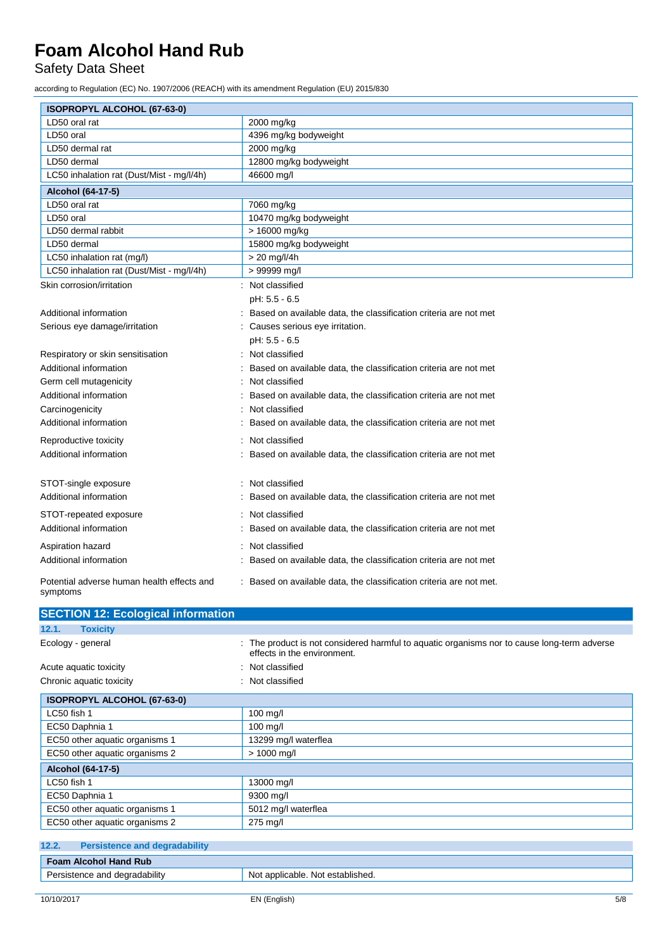## Safety Data Sheet

according to Regulation (EC) No. 1907/2006 (REACH) with its amendment Regulation (EU) 2015/830

| ISOPROPYL ALCOHOL (67-63-0)                            |                                                                     |
|--------------------------------------------------------|---------------------------------------------------------------------|
| LD50 oral rat                                          | 2000 mg/kg                                                          |
| LD50 oral                                              | 4396 mg/kg bodyweight                                               |
| LD50 dermal rat                                        | 2000 mg/kg                                                          |
| LD50 dermal                                            | 12800 mg/kg bodyweight                                              |
| LC50 inhalation rat (Dust/Mist - mg/l/4h)              | 46600 mg/l                                                          |
| Alcohol (64-17-5)                                      |                                                                     |
| LD50 oral rat                                          | 7060 mg/kg                                                          |
| LD50 oral                                              | 10470 mg/kg bodyweight                                              |
| LD50 dermal rabbit                                     | > 16000 mg/kg                                                       |
| LD50 dermal                                            | 15800 mg/kg bodyweight                                              |
| LC50 inhalation rat (mg/l)                             | > 20 mg/l/4h                                                        |
| LC50 inhalation rat (Dust/Mist - mg/l/4h)              | > 99999 mg/l                                                        |
| Skin corrosion/irritation                              | : Not classified                                                    |
|                                                        | pH: 5.5 - 6.5                                                       |
| Additional information                                 | Based on available data, the classification criteria are not met    |
| Serious eye damage/irritation                          | Causes serious eye irritation.                                      |
|                                                        | pH: 5.5 - 6.5                                                       |
| Respiratory or skin sensitisation                      | Not classified                                                      |
| Additional information                                 | Based on available data, the classification criteria are not met    |
| Germ cell mutagenicity                                 | Not classified                                                      |
| Additional information                                 | Based on available data, the classification criteria are not met    |
| Carcinogenicity                                        | Not classified                                                      |
| Additional information                                 | Based on available data, the classification criteria are not met    |
| Reproductive toxicity                                  | Not classified                                                      |
| Additional information                                 | Based on available data, the classification criteria are not met    |
| STOT-single exposure                                   | : Not classified                                                    |
| Additional information                                 | Based on available data, the classification criteria are not met    |
| STOT-repeated exposure                                 | Not classified                                                      |
| Additional information                                 | Based on available data, the classification criteria are not met    |
| Aspiration hazard                                      | Not classified                                                      |
| Additional information                                 | Based on available data, the classification criteria are not met    |
| Potential adverse human health effects and<br>symptoms | : Based on available data, the classification criteria are not met. |

| <b>SECTION 12: Ecological information</b>     |                                                                                                                          |
|-----------------------------------------------|--------------------------------------------------------------------------------------------------------------------------|
| 12.1.<br><b>Toxicity</b>                      |                                                                                                                          |
| Ecology - general                             | The product is not considered harmful to aquatic organisms nor to cause long-term adverse<br>effects in the environment. |
| Acute aquatic toxicity                        | Not classified                                                                                                           |
| Chronic aquatic toxicity                      | Not classified                                                                                                           |
| ISOPROPYL ALCOHOL (67-63-0)                   |                                                                                                                          |
| LC50 fish 1                                   | $100$ mg/l                                                                                                               |
| EC50 Daphnia 1                                | 100 mg/l                                                                                                                 |
| EC50 other aquatic organisms 1                | 13299 mg/l waterflea                                                                                                     |
| EC50 other aquatic organisms 2                | $> 1000$ mg/l                                                                                                            |
| Alcohol (64-17-5)                             |                                                                                                                          |
| LC50 fish 1                                   | 13000 mg/l                                                                                                               |
| EC50 Daphnia 1                                | 9300 mg/l                                                                                                                |
| EC50 other aquatic organisms 1                | 5012 mg/l waterflea                                                                                                      |
| EC50 other aquatic organisms 2                | 275 mg/l                                                                                                                 |
|                                               |                                                                                                                          |
| 12.2.<br><b>Persistence and degradability</b> |                                                                                                                          |
| <b>Foam Alcohol Hand Rub</b>                  |                                                                                                                          |
| Persistence and degradability                 | Not applicable. Not established.                                                                                         |

| 10/10/2017 |  |
|------------|--|
|------------|--|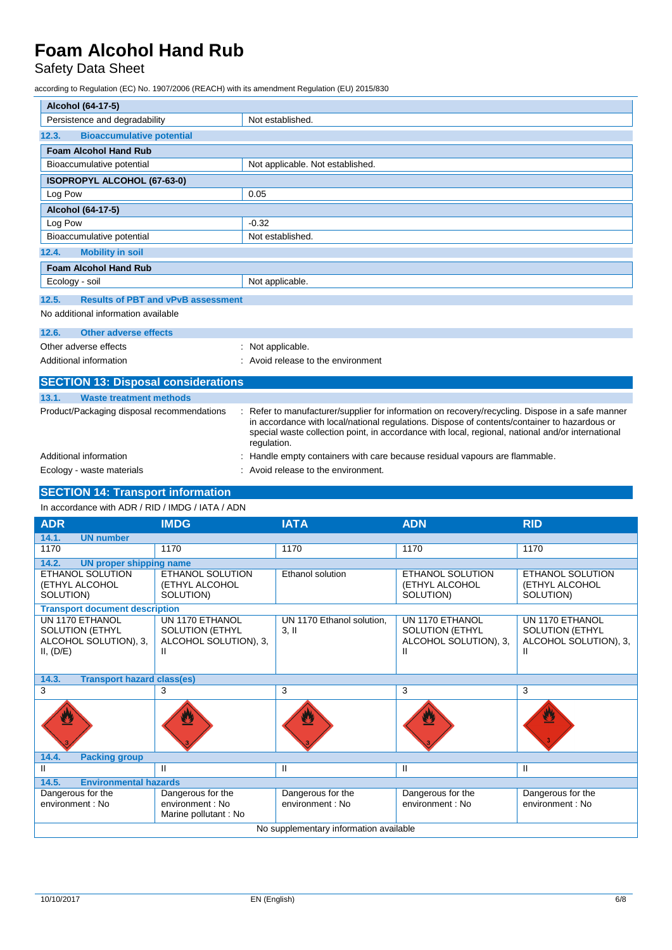## Safety Data Sheet

according to Regulation (EC) No. 1907/2006 (REACH) with its amendment Regulation (EU) 2015/830

| Alcohol (64-17-5)                                  |                                                                                                                                                                                                                                                                                                                    |  |
|----------------------------------------------------|--------------------------------------------------------------------------------------------------------------------------------------------------------------------------------------------------------------------------------------------------------------------------------------------------------------------|--|
| Persistence and degradability                      | Not established.                                                                                                                                                                                                                                                                                                   |  |
| <b>Bioaccumulative potential</b><br>12.3.          |                                                                                                                                                                                                                                                                                                                    |  |
| <b>Foam Alcohol Hand Rub</b>                       |                                                                                                                                                                                                                                                                                                                    |  |
| Bioaccumulative potential                          | Not applicable. Not established.                                                                                                                                                                                                                                                                                   |  |
| <b>ISOPROPYL ALCOHOL (67-63-0)</b>                 |                                                                                                                                                                                                                                                                                                                    |  |
| Log Pow                                            | 0.05                                                                                                                                                                                                                                                                                                               |  |
| Alcohol (64-17-5)                                  |                                                                                                                                                                                                                                                                                                                    |  |
| Log Pow                                            | $-0.32$                                                                                                                                                                                                                                                                                                            |  |
| Bioaccumulative potential                          | Not established.                                                                                                                                                                                                                                                                                                   |  |
| 12.4.<br><b>Mobility in soil</b>                   |                                                                                                                                                                                                                                                                                                                    |  |
| <b>Foam Alcohol Hand Rub</b>                       |                                                                                                                                                                                                                                                                                                                    |  |
| Ecology - soil                                     | Not applicable.                                                                                                                                                                                                                                                                                                    |  |
| <b>Results of PBT and vPvB assessment</b><br>12.5. |                                                                                                                                                                                                                                                                                                                    |  |
| No additional information available                |                                                                                                                                                                                                                                                                                                                    |  |
| Other adverse effects<br>12.6.                     |                                                                                                                                                                                                                                                                                                                    |  |
| Other adverse effects                              | : Not applicable.                                                                                                                                                                                                                                                                                                  |  |
| Additional information                             | Avoid release to the environment                                                                                                                                                                                                                                                                                   |  |
| <b>SECTION 13: Disposal considerations</b>         |                                                                                                                                                                                                                                                                                                                    |  |
| 13.1.<br><b>Waste treatment methods</b>            |                                                                                                                                                                                                                                                                                                                    |  |
| Product/Packaging disposal recommendations         | Refer to manufacturer/supplier for information on recovery/recycling. Dispose in a safe manner<br>in accordance with local/national regulations. Dispose of contents/container to hazardous or<br>special waste collection point, in accordance with local, regional, national and/or international<br>regulation. |  |
| Additional information                             | Handle empty containers with care because residual vapours are flammable.                                                                                                                                                                                                                                          |  |
| Ecology - waste materials                          | Avoid release to the environment.                                                                                                                                                                                                                                                                                  |  |

## **SECTION 14: Transport information**

In accordance with ADR / RID / IMDG / IATA / ADN

| <b>ADR</b>                                                                      | <b>IMDG</b>                                                             | <b>IATA</b>                           | <b>ADN</b>                                                              | <b>RID</b>                                                              |  |
|---------------------------------------------------------------------------------|-------------------------------------------------------------------------|---------------------------------------|-------------------------------------------------------------------------|-------------------------------------------------------------------------|--|
| 14.1.<br><b>UN number</b>                                                       |                                                                         |                                       |                                                                         |                                                                         |  |
| 1170                                                                            | 1170                                                                    | 1170                                  | 1170                                                                    | 1170                                                                    |  |
| 14.2.<br><b>UN proper shipping name</b>                                         |                                                                         |                                       |                                                                         |                                                                         |  |
| <b>ETHANOL SOLUTION</b><br>(ETHYL ALCOHOL<br>SOLUTION)                          | <b>ETHANOL SOLUTION</b><br>(ETHYL ALCOHOL<br>SOLUTION)                  | <b>Ethanol solution</b>               | ETHANOL SOLUTION<br>(ETHYL ALCOHOL<br>SOLUTION)                         | ETHANOL SOLUTION<br>(ETHYL ALCOHOL<br>SOLUTION)                         |  |
| <b>Transport document description</b>                                           |                                                                         |                                       |                                                                         |                                                                         |  |
| UN 1170 ETHANOL<br><b>SOLUTION (ETHYL</b><br>ALCOHOL SOLUTION), 3,<br>II, (D/E) | UN 1170 ETHANOL<br><b>SOLUTION (ETHYL</b><br>ALCOHOL SOLUTION), 3,<br>Ш | UN 1170 Ethanol solution.<br>$3,$ II  | UN 1170 ETHANOL<br><b>SOLUTION (ETHYL</b><br>ALCOHOL SOLUTION), 3,<br>Ш | UN 1170 ETHANOL<br><b>SOLUTION (ETHYL</b><br>ALCOHOL SOLUTION), 3,<br>Ш |  |
| 14.3.<br><b>Transport hazard class(es)</b>                                      |                                                                         |                                       |                                                                         |                                                                         |  |
| 3                                                                               | 3                                                                       | 3                                     | 3                                                                       | 3                                                                       |  |
|                                                                                 |                                                                         |                                       |                                                                         | W                                                                       |  |
| 14.4.<br><b>Packing group</b>                                                   |                                                                         |                                       |                                                                         |                                                                         |  |
| Ш                                                                               | $\mathbf{H}$                                                            | Ш                                     | Ш                                                                       | Ш                                                                       |  |
| <b>Environmental hazards</b><br>14.5.                                           |                                                                         |                                       |                                                                         |                                                                         |  |
| Dangerous for the<br>environment: No                                            | Dangerous for the<br>environment : No<br>Marine pollutant : No          | Dangerous for the<br>environment : No | Dangerous for the<br>environment : No                                   | Dangerous for the<br>environment: No                                    |  |
| No supplementary information available                                          |                                                                         |                                       |                                                                         |                                                                         |  |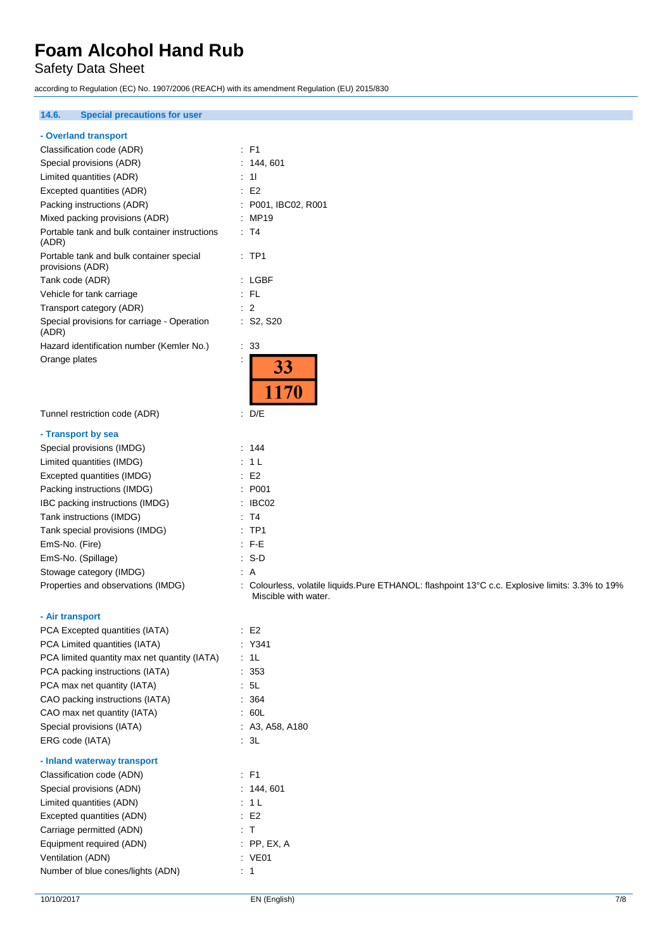Safety Data Sheet

according to Regulation (EC) No. 1907/2006 (REACH) with its amendment Regulation (EU) 2015/830

## **14.6. Special precautions for user**

|  |  |  |  | - Overland transport |
|--|--|--|--|----------------------|
|--|--|--|--|----------------------|

| Classification code (ADR)                                    | $\therefore$ F1                                                                                                         |
|--------------------------------------------------------------|-------------------------------------------------------------------------------------------------------------------------|
| Special provisions (ADR)                                     | : 144, 601                                                                                                              |
| Limited quantities (ADR)                                     | $\therefore$ 11                                                                                                         |
| Excepted quantities (ADR)                                    | $\therefore$ E2                                                                                                         |
| Packing instructions (ADR)                                   | : P001, IBC02, R001                                                                                                     |
| Mixed packing provisions (ADR)                               | : MP19                                                                                                                  |
| Portable tank and bulk container instructions<br>(ADR)       | : T4                                                                                                                    |
| Portable tank and bulk container special<br>provisions (ADR) | $:$ TP1                                                                                                                 |
| Tank code (ADR)                                              | : LGBF                                                                                                                  |
| Vehicle for tank carriage                                    | : FL                                                                                                                    |
| Transport category (ADR)                                     | $\therefore$ 2                                                                                                          |
| Special provisions for carriage - Operation<br>(ADR)         | : S2, S20                                                                                                               |
| Hazard identification number (Kemler No.)                    | $\therefore$ 33                                                                                                         |
| Orange plates                                                | 33<br>1170                                                                                                              |
| Tunnel restriction code (ADR)                                | $\therefore$ D/E                                                                                                        |
| - Transport by sea                                           |                                                                                                                         |
| Special provisions (IMDG)                                    | : 144                                                                                                                   |
| Limited quantities (IMDG)                                    | : 1 L                                                                                                                   |
| Excepted quantities (IMDG)                                   | : E2                                                                                                                    |
| Packing instructions (IMDG)                                  | : P001                                                                                                                  |
| IBC packing instructions (IMDG)                              | : IBC02                                                                                                                 |
| Tank instructions (IMDG)                                     | : T4                                                                                                                    |
| Tank special provisions (IMDG)                               | $:$ TP1                                                                                                                 |
| EmS-No. (Fire)                                               | $\therefore$ F-E                                                                                                        |
| EmS-No. (Spillage)                                           | $: S-D$                                                                                                                 |
| Stowage category (IMDG)                                      | : A                                                                                                                     |
| Properties and observations (IMDG)                           | : Colourless, volatile liquids.Pure ETHANOL: flashpoint 13°C c.c. Explosive limits: 3.3% to 19%<br>Miscible with water. |
| - Air transport                                              |                                                                                                                         |
| PCA Excepted quantities (IATA)                               | E2                                                                                                                      |
| PCA Limited quantities (IATA)                                | : Y341                                                                                                                  |
| PCA limited quantity max net quantity (IATA)                 | $\therefore$ 1L                                                                                                         |
| PCA packing instructions (IATA)                              | : 353                                                                                                                   |
| PCA max net quantity (IATA)                                  | : 5L                                                                                                                    |
| CAO packing instructions (IATA)                              | : 364                                                                                                                   |
| CAO max net quantity (IATA)                                  | : 60L                                                                                                                   |
| Special provisions (IATA)                                    | : A3, A58, A180                                                                                                         |
| ERG code (IATA)                                              | 3L                                                                                                                      |
| - Inland waterway transport                                  |                                                                                                                         |
| Classification code (ADN)                                    | $\therefore$ F1                                                                                                         |
| Special provisions (ADN)                                     | : 144, 601                                                                                                              |
| Limited quantities (ADN)                                     | : 1L                                                                                                                    |
| Excepted quantities (ADN)                                    | $\therefore$ E2                                                                                                         |
| Carriage permitted (ADN)                                     | $\cdot$ T                                                                                                               |

Equipment required (ADN) : PP, EX, A Ventilation (ADN) : VE01 Number of blue cones/lights (ADN) : 1